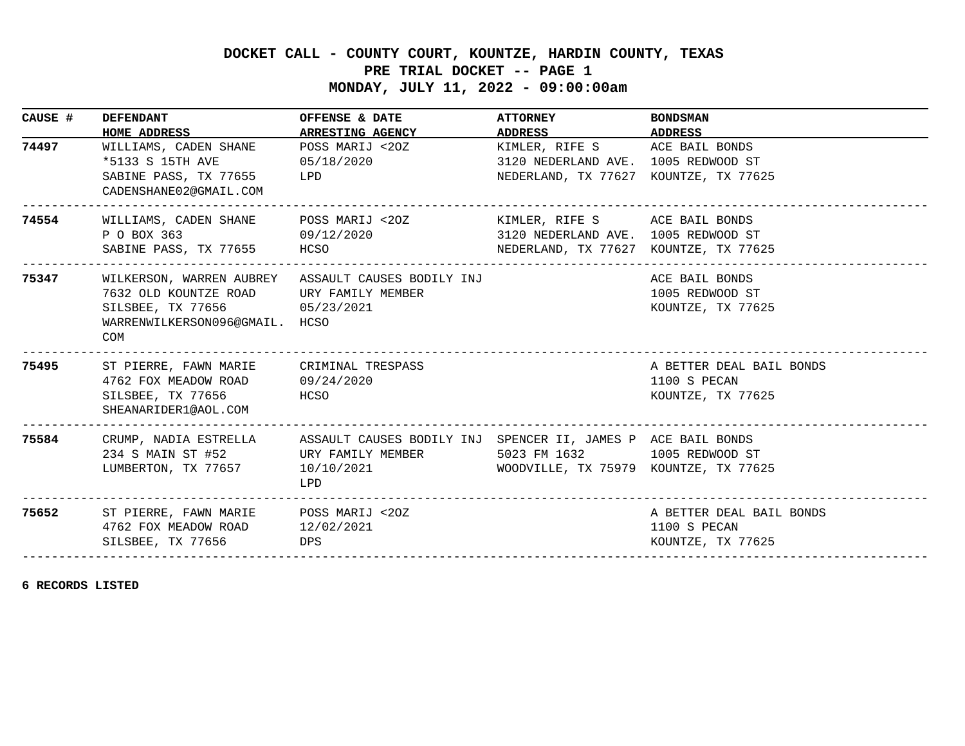## **DOCKET CALL - COUNTY COURT, KOUNTZE, HARDIN COUNTY, TEXAS**

## **PRE TRIAL DOCKET -- PAGE 1**

 **MONDAY, JULY 11, 2022 - 09:00:00am**

| CAUSE # | <b>DEFENDANT</b><br>HOME ADDRESS ARRESTING AGENCY                                                                                                                      | OFFENSE & DATE                                                                                                                                                | <b>ATTORNEY</b><br>ADDRESS ADDRESS                                                                            | <b>BONDSMAN</b>                                               |
|---------|------------------------------------------------------------------------------------------------------------------------------------------------------------------------|---------------------------------------------------------------------------------------------------------------------------------------------------------------|---------------------------------------------------------------------------------------------------------------|---------------------------------------------------------------|
| 74497   | WILLIAMS, CADEN SHANE<br>*5133 S 15TH AVE 05/18/2020<br>SABINE PASS, TX 77655 LPD<br>CADENSHANE02@GMAIL.COM                                                            | POSS MARIJ <20Z                                                                                                                                               | KIMLER, RIFE S ACE BAIL BONDS<br>3120 NEDERLAND AVE. 1005 REDWOOD ST<br>NEDERLAND, TX 77627 KOUNTZE, TX 77625 |                                                               |
| 74554   | P O BOX 363 09/12/2020<br>SABINE PASS, TX 77655 HCSO                                                                                                                   | WILLIAMS, CADEN SHANE POSS MARIJ <20Z                                                                                                                         | KIMLER, RIFE S ACE BAIL BONDS<br>3120 NEDERLAND AVE. 1005 REDWOOD ST<br>NEDERLAND, TX 77627 KOUNTZE, TX 77625 |                                                               |
| 75347   | WILKERSON, WARREN AUBREY ASSAULT CAUSES BODILY INJ<br>7632 OLD KOUNTZE ROAD URY FAMILY MEMBER<br>SILSBEE, TX 77656 05/23/2021<br>WARRENWILKERSON096@GMAIL. HCSO<br>COM |                                                                                                                                                               |                                                                                                               | ACE BAIL BONDS<br>1005 REDWOOD ST<br>KOUNTZE, TX 77625        |
| 75495   | ST PIERRE, FAWN MARIE CRIMINAL TRESPASS<br>4762 FOX MEADOW ROAD 09/24/2020<br>SILSBEE, TX 77656<br><b>EXECUTE:</b> HCSO<br>SHEANARIDER1@AOL.COM                        |                                                                                                                                                               |                                                                                                               | A BETTER DEAL BAIL BONDS<br>1100 S PECAN<br>KOUNTZE, TX 77625 |
| 75584   | LUMBERTON, TX 77657 10/10/2021                                                                                                                                         | CRUMP, NADIA ESTRELLA ASSAULT CAUSES BODILY INJ SPENCER II, JAMES P ACE BAIL BONDS<br>234 S MAIN ST #52 URY FAMILY MEMBER 5023 FM 1632 1005 REDWOOD ST<br>LPD | WOODVILLE, TX 75979 KOUNTZE, TX 77625                                                                         |                                                               |
|         | 75652 ST PIERRE, FAWN MARIE POSS MARIJ <20Z<br>4762 FOX MEADOW ROAD 12/02/2021<br>SILSBEE, TX 77656                                                                    | DPS                                                                                                                                                           |                                                                                                               | A BETTER DEAL BAIL BONDS<br>1100 S PECAN<br>KOUNTZE, TX 77625 |

**6 RECORDS LISTED**